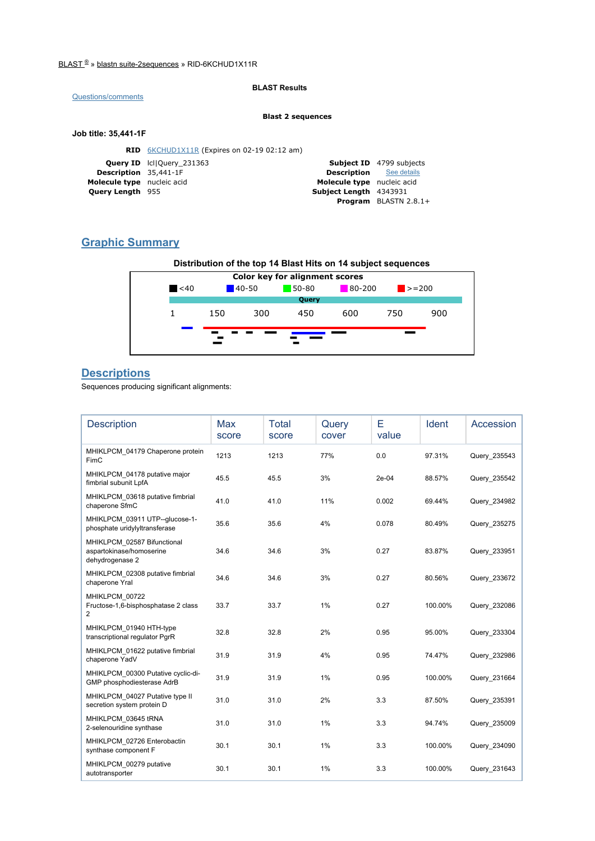#### BLAST ® » blastn suite-2sequences » RID-6KCHUD1X11R

### Questions/comments

BLAST Results

#### Blast 2 sequences

#### Job title: 35,441-1F

|                              | <b>RID</b> 6KCHUD1X11R (Expires on 02-19 02:12 am) |                                |                                 |
|------------------------------|----------------------------------------------------|--------------------------------|---------------------------------|
|                              | <b>Query ID</b> IcllQuery 231363                   |                                | <b>Subject ID</b> 4799 subjects |
| <b>Description</b> 35,441-1F |                                                    | <b>Description</b> See details |                                 |
| Molecule type nucleic acid   |                                                    | Molecule type nucleic acid     |                                 |
| <b>Query Length 955</b>      |                                                    | Subject Length 4343931         |                                 |
|                              |                                                    |                                | Program BLASTN 2.8.1+           |

## Graphic Summary



## **Descriptions**

Sequences producing significant alignments:

| <b>Description</b>                                                         | Max<br>score | Total<br>score | Query<br>cover | Е<br>value | <b>Ident</b> | Accession    |
|----------------------------------------------------------------------------|--------------|----------------|----------------|------------|--------------|--------------|
| MHIKLPCM 04179 Chaperone protein<br>FimC                                   | 1213         | 1213           | 77%            | 0.0        | 97.31%       | Query 235543 |
| MHIKLPCM 04178 putative major<br>fimbrial subunit LpfA                     | 45.5         | 45.5           | 3%             | 2e-04      | 88.57%       | Query 235542 |
| MHIKLPCM 03618 putative fimbrial<br>chaperone SfmC                         | 41.0         | 41.0           | 11%            | 0.002      | 69.44%       | Query 234982 |
| MHIKLPCM 03911 UTP--glucose-1-<br>phosphate uridylyltransferase            | 35.6         | 35.6           | 4%             | 0.078      | 80.49%       | Query 235275 |
| MHIKLPCM 02587 Bifunctional<br>aspartokinase/homoserine<br>dehydrogenase 2 | 34.6         | 34.6           | 3%             | 0.27       | 83.87%       | Query_233951 |
| MHIKLPCM 02308 putative fimbrial<br>chaperone Yral                         | 34.6         | 34.6           | 3%             | 0.27       | 80.56%       | Query 233672 |
| MHIKLPCM 00722<br>Fructose-1,6-bisphosphatase 2 class<br>2                 | 33.7         | 33.7           | 1%             | 0.27       | 100.00%      | Query 232086 |
| MHIKLPCM 01940 HTH-type<br>transcriptional regulator PgrR                  | 32.8         | 32.8           | 2%             | 0.95       | 95.00%       | Query 233304 |
| MHIKLPCM 01622 putative fimbrial<br>chaperone YadV                         | 31.9         | 31.9           | 4%             | 0.95       | 74.47%       | Query_232986 |
| MHIKLPCM 00300 Putative cyclic-di-<br>GMP phosphodiesterase AdrB           | 31.9         | 31.9           | 1%             | 0.95       | 100.00%      | Query 231664 |
| MHIKLPCM 04027 Putative type II<br>secretion system protein D              | 31.0         | 31.0           | 2%             | 3.3        | 87.50%       | Query 235391 |
| MHIKLPCM 03645 tRNA<br>2-selenouridine synthase                            | 31.0         | 31.0           | 1%             | 3.3        | 94.74%       | Query 235009 |
| MHIKLPCM 02726 Enterobactin<br>synthase component F                        | 30.1         | 30.1           | 1%             | 3.3        | 100.00%      | Query 234090 |
| MHIKLPCM 00279 putative<br>autotransporter                                 | 30.1         | 30.1           | 1%             | 3.3        | 100.00%      | Query 231643 |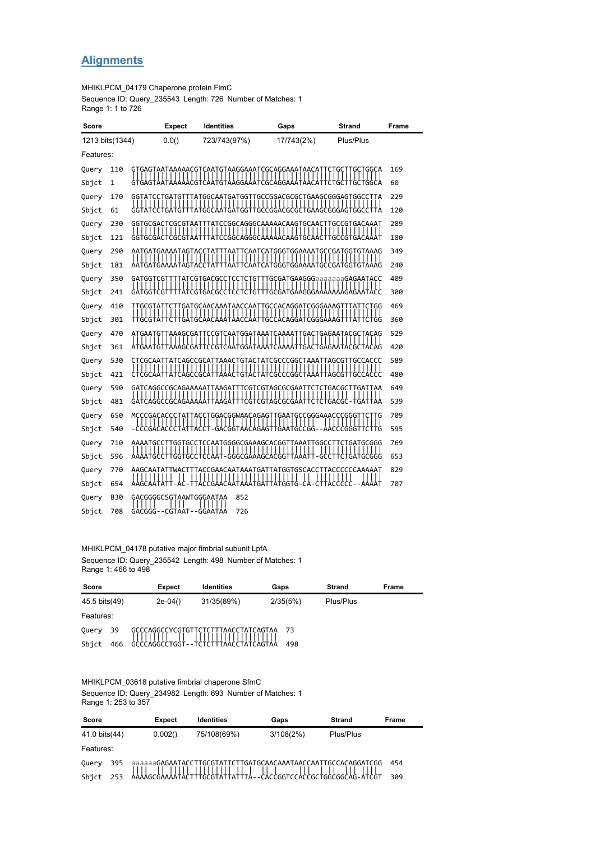# **Alignments**

MHIKLPCM\_04179 Chaperone protein FimC

Sequence ID: Query\_235543 Length: 726 Number of Matches: 1 Range 1: 1 to 726

| Score           |     |  | <b>Expect</b>           | <b>Identities</b>                                                     | Gaps                                                                    | <b>Strand</b>                             | Frame |  |  |
|-----------------|-----|--|-------------------------|-----------------------------------------------------------------------|-------------------------------------------------------------------------|-------------------------------------------|-------|--|--|
| 1213 bits(1344) |     |  | 0.0()                   | 723/743(97%)                                                          | 17/743(2%)                                                              | Plus/Plus                                 |       |  |  |
| Features:       |     |  |                         |                                                                       |                                                                         |                                           |       |  |  |
| Query           | 110 |  |                         | THILL                                                                 | ,,,,,,,,,,,,<br>,,,,,,,,,,,,                                            | I.                                        | 169   |  |  |
| Sbjct           | 1   |  |                         |                                                                       |                                                                         |                                           | 60    |  |  |
| Query           | 170 |  |                         |                                                                       | GGTATCCTGATGTTTATGGCAATGATGGTTGCCGGACGCGCTGAAGCGGGAGTGGCCTTA            |                                           | 229   |  |  |
| Sbjct           | 61  |  |                         |                                                                       | GGTATCCTGATGTTTATGGCAATGATGGTTGCCGGACGCGCTGAAGCGGGAGTGGCCTTA            |                                           | 120   |  |  |
| Query           | 230 |  |                         |                                                                       | GGTGCGACTCGCGTAATTTATCCGGCAGGGCAAAAACAAGTGCAACTTGCCGTGACAAAT            |                                           | 289   |  |  |
| Sbjct           | 121 |  |                         |                                                                       | GGTGCGACTCGCGTAATTTATCCGGCAGGGCAAAAACAAGTGCAACTTGCCGTGACAAAT            |                                           | 180   |  |  |
| Query           | 290 |  |                         |                                                                       | AATGATGAAAATAGTACCTATTTAATTCAATCATGGGTGGAAAATGCCGATGGTGTAAAG            |                                           | 349   |  |  |
| Sbjct           | 181 |  |                         |                                                                       | AATGATGAAAAATAGTACCTATTTAATTCAATCATGGGTGGAAAATGCCGATGGTGTAAAG           |                                           | 240   |  |  |
| Query           | 350 |  |                         |                                                                       | GATGGTCGTTTTATCGTGACGCCTCCTCTGTTTGCGATGAAGGGaaaaaaaGAGAATACC            |                                           | 409   |  |  |
| Sbjct           | 241 |  |                         |                                                                       | GATGGTCGTTTTATCGTGACGCCTCCTCTGTTTGCGATGAAGGGAAAAAAAGAGAATACC            |                                           | 300   |  |  |
| Query           | 410 |  |                         | $\frac{1}{1}$ $\frac{1}{1}$ $\frac{1}{1}$ $\frac{1}{1}$ $\frac{1}{1}$ | TTGCGTATTCTTGATGCAACAAATAACCAATTGCCACAGGATCGGGAAAGTTTATTCTGG<br>1111111 | $\frac{1}{1}$ $\frac{1}{1}$ $\frac{1}{1}$ | 469   |  |  |
| Sbjct           | 301 |  |                         |                                                                       | TTGCGTATTCTTGATGCAACAAATAACCAATTGCCACAGGATCGGGAAAGTTTATTCTGG            |                                           | 360   |  |  |
| Query           | 470 |  |                         |                                                                       | ATGAATGTTAAAGCGATTCCGTCAATGGATAAATCAAAATTGACTGAGAATACGCTACAG            |                                           | 529   |  |  |
| Sbjct           | 361 |  |                         |                                                                       | ATGAATGTTAAAGCGATTCCGTCAATGGATAAATCAAAATTGACTGAGAATACGCTACAG            |                                           | 420   |  |  |
| Query           | 530 |  |                         |                                                                       | CTCGCAATTATCAGCCGCATTAAACTGTACTATCGCCCGGCTAAATTAGCGTTGCCACCC            |                                           | 589   |  |  |
| Sbjct           | 421 |  |                         |                                                                       | CTCGCAATTATCAGCCGCATTAAACTGTACTATCGCCCGGCTAAATTAGCGTTGCCACCC            |                                           | 480   |  |  |
| Query           | 590 |  |                         |                                                                       | GATCAGGCCGCAGAAAAATTAAGATTTCGTCGTAGCGCGAATTCTCTGACGCTTGATTAA            |                                           | 649   |  |  |
| Sbjct           | 481 |  |                         |                                                                       | GATCAGGCCGCAGAAAAATTAAGATTTCGTCGTAGCGCGAATTCTCTGACGC-TGATTAA            |                                           | 539   |  |  |
| Query           | 650 |  |                         |                                                                       | MCCCGACACCCTATTACCTGGACGGWAACAGAGTTGAATGCCGGGAAACCCGGGTTCTTG            |                                           | 709   |  |  |
| Sbict           | 540 |  |                         |                                                                       | -CCCGACACCCTATTACCT-GACGGTAACAGAGTTGAATGCCGG--AACCCGGGTTCTTG            |                                           | 595   |  |  |
| Ouery           | 710 |  |                         | $\mathbf{H}$                                                          | AAAATGCCTTGGTGCCTCCAATGGGGCGAAAGCACGGTTAAATTGGCCTTCTGATGCGGG            | $\Box$                                    | 769   |  |  |
| Sbjct           | 596 |  |                         |                                                                       | AAAATGCCTTGGTGCCTCCAAT-GGGCGAAAGCACGGTTAAATT-GCCTTCTGATGCGGG            |                                           | 653   |  |  |
| Query           | 770 |  |                         |                                                                       | AAGCAATATTWACTTTACCGAACAATAAATGATTATGGTGSCACCTTACCCCCAAAAAT             |                                           | 829   |  |  |
| Sbjct           | 654 |  |                         |                                                                       | AAGCAATATT-AC-TTACCGAACAATAAATGATTATGGTG-CA-CTTACCCCC--AAAAT            |                                           | 707   |  |  |
| Query           | 830 |  | GACGGGGCSGTAAWTGGGAATAA | 852                                                                   |                                                                         |                                           |       |  |  |
| Sbjct           | 708 |  | GACGGG--CGTAAT--GGAATAA | 726                                                                   |                                                                         |                                           |       |  |  |

MHIKLPCM\_04178 putative major fimbrial subunit LpfA Sequence ID: Query\_235542 Length: 498 Number of Matches: 1 Range 1: 466 to 498

| Score         |     | <b>Expect</b>                       | <b>Identities</b>                   | Gaps     | <b>Strand</b> | Frame |
|---------------|-----|-------------------------------------|-------------------------------------|----------|---------------|-------|
| 45.5 bits(49) |     | $2e-04()$                           | 31/35(89%)                          | 2/35(5%) | Plus/Plus     |       |
| Features:     |     |                                     |                                     |          |               |       |
| Query         | -39 |                                     | GCCCAGGCCYCGTGTTCTCTTTAACCTATCAGTAA | -73      |               |       |
| Sbict         | 466 | ᢡᡩᡩᡩᡩᢡᡩᡩᡄᠴ᠌᠖ᡛᡰ᠆᠆᠊ᡰᡩᡶᢓ᠊ᡰᡶᡶᢂᡩᡩᡶᡩᡶᡩᡩᡶᡩ |                                     | 498      |               |       |

MHIKLPCM\_03618 putative fimbrial chaperone SfmC

Sequence ID: Query\_234982 Length: 693 Number of Matches: 1 Range 1: 253 to 357

| Score         |     | <b>Expect</b> | <b>Identities</b>                                             | Gaps      | Strand    | Frame |
|---------------|-----|---------------|---------------------------------------------------------------|-----------|-----------|-------|
| 41.0 bits(44) |     | 0.002()       | 75/108(69%)                                                   | 3/108(2%) | Plus/Plus |       |
| Features:     |     |               |                                                               |           |           |       |
| Query         | 395 |               | aaaaaaGAGAATACCTTGCGTATTCTTGATGCAACAAATAACCAATTGCCACAGGATCGG  |           |           | 454   |
| Sbict         |     |               | AAAAGCGAAAATALTTTGCGTATTATTTA - CACCGGTCCACCGCTGGCGGCAG-ATCGT |           |           | 309   |